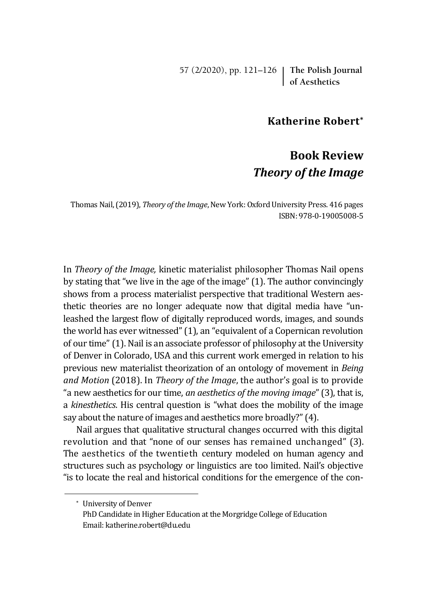57 (2/2020), pp. 121–126 **The Polish Journal of Aesthetics**

## **Katherine Robert\***

## **Book Review** *Theory of the Image*

Thomas Nail, (2019), *Theory of the Image*, New York: Oxford University Press. 416 pages ISBN: 978-0-19005008-5

In *Theory of the Image,* kinetic materialist philosopher Thomas Nail opens by stating that "we live in the age of the image" (1). The author convincingly shows from a process materialist perspective that traditional Western aesthetic theories are no longer adequate now that digital media have "unleashed the largest flow of digitally reproduced words, images, and sounds the world has ever witnessed" (1), an "equivalent of a Copernican revolution of our time" (1). Nail is an associate professor of philosophy at the University of Denver in Colorado, USA and this current work emerged in relation to his previous new materialist theorization of an ontology of movement in *Being and Motion* (2018). In *Theory of the Image*, the author's goal is to provide "a new aesthetics for our time, *an aesthetics of the moving image*" (3), that is, a *kinesthetics*. His central question is "what does the mobility of the image say about the nature of images and aesthetics more broadly?" (4).

Nail argues that qualitative structural changes occurred with this digital revolution and that "none of our senses has remained unchanged" (3). The aesthetics of the twentieth century modeled on human agency and structures such as psychology or linguistics are too limited. Nail's objective "is to locate the real and historical conditions for the emergence of the con-

<sup>\*</sup> University of Denver

PhD Candidate in Higher Education at the Morgridge College of Education Email: katherine.robert@du.edu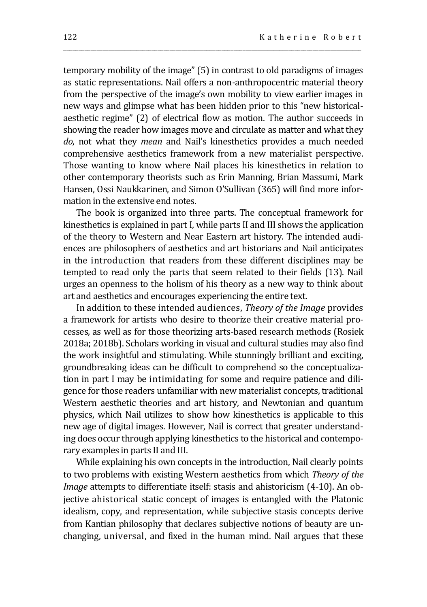temporary mobility of the image" (5) in contrast to old paradigms of images as static representations. Nail offers a non-anthropocentric material theory from the perspective of the image's own mobility to view earlier images in new ways and glimpse what has been hidden prior to this "new historicalaesthetic regime" (2) of electrical flow as motion. The author succeeds in showing the reader how images move and circulate as matter and what they *do*, not what they *mean* and Nail's kinesthetics provides a much needed comprehensive aesthetics framework from a new materialist perspective. Those wanting to know where Nail places his kinesthetics in relation to other contemporary theorists such as Erin Manning, Brian Massumi, Mark Hansen, Ossi Naukkarinen, and Simon O'Sullivan (365) will find more information in the extensive end notes.

\_\_\_\_\_\_\_\_\_\_\_\_\_\_\_\_\_\_\_\_\_\_\_\_\_\_\_\_\_\_\_\_\_\_\_\_\_\_\_\_\_\_\_\_\_\_\_\_\_\_\_\_\_\_\_\_\_\_\_\_\_\_\_\_\_\_\_\_\_\_\_\_\_\_\_\_\_\_\_\_\_\_\_\_\_\_\_\_\_\_\_\_\_\_\_\_\_\_

The book is organized into three parts. The conceptual framework for kinesthetics is explained in part I, while parts II and III shows the application of the theory to Western and Near Eastern art history. The intended audiences are philosophers of aesthetics and art historians and Nail anticipates in the introduction that readers from these different disciplines may be tempted to read only the parts that seem related to their fields (13). Nail urges an openness to the holism of his theory as a new way to think about art and aesthetics and encourages experiencing the entire text.

In addition to these intended audiences, *Theory of the Image* provides a framework for artists who desire to theorize their creative material processes, as well as for those theorizing arts-based research methods (Rosiek 2018a; 2018b). Scholars working in visual and cultural studies may also find the work insightful and stimulating. While stunningly brilliant and exciting, groundbreaking ideas can be difficult to comprehend so the conceptualization in part I may be intimidating for some and require patience and diligence for those readers unfamiliar with new materialist concepts, traditional Western aesthetic theories and art history, and Newtonian and quantum physics, which Nail utilizes to show how kinesthetics is applicable to this new age of digital images. However, Nail is correct that greater understanding does occur through applying kinesthetics to the historical and contemporary examples in parts II and III.

While explaining his own concepts in the introduction, Nail clearly points to two problems with existing Western aesthetics from which *Theory of the Image* attempts to differentiate itself: stasis and ahistoricism (4-10). An objective ahistorical static concept of images is entangled with the Platonic idealism, copy, and representation, while subjective stasis concepts derive from Kantian philosophy that declares subjective notions of beauty are unchanging, universal, and fixed in the human mind. Nail argues that these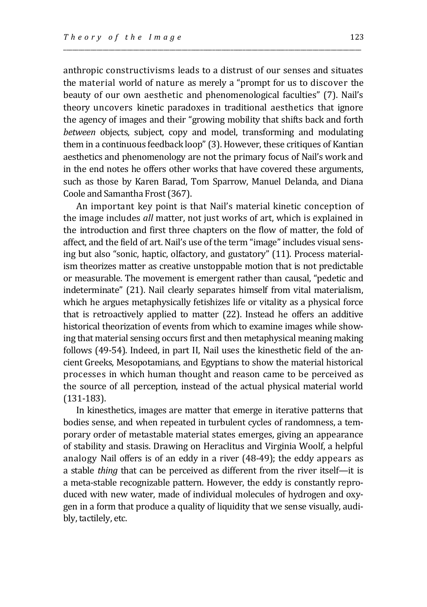anthropic constructivisms leads to a distrust of our senses and situates the material world of nature as merely a "prompt for us to discover the beauty of our own aesthetic and phenomenological faculties" (7). Nail's theory uncovers kinetic paradoxes in traditional aesthetics that ignore the agency of images and their "growing mobility that shifts back and forth *between* objects, subject, copy and model, transforming and modulating them in a continuous feedback loop" (3). However, these critiques of Kantian aesthetics and phenomenology are not the primary focus of Nail's work and in the end notes he offers other works that have covered these arguments, such as those by Karen Barad, Tom Sparrow, Manuel Delanda, and Diana Coole and Samantha Frost (367).

\_\_\_\_\_\_\_\_\_\_\_\_\_\_\_\_\_\_\_\_\_\_\_\_\_\_\_\_\_\_\_\_\_\_\_\_\_\_\_\_\_\_\_\_\_\_\_\_\_\_\_\_\_\_\_\_\_\_\_\_\_\_\_\_\_\_\_\_\_\_\_\_\_\_\_\_\_\_\_\_\_\_\_\_\_\_\_\_\_\_\_\_\_\_\_\_\_\_

An important key point is that Nail's material kinetic conception of the image includes *all* matter, not just works of art, which is explained in the introduction and first three chapters on the flow of matter, the fold of affect, and the field of art. Nail's use of the term "image" includes visual sensing but also "sonic, haptic, olfactory, and gustatory" (11). Process materialism theorizes matter as creative unstoppable motion that is not predictable or measurable. The movement is emergent rather than causal, "pedetic and indeterminate" (21). Nail clearly separates himself from vital materialism, which he argues metaphysically fetishizes life or vitality as a physical force that is retroactively applied to matter (22). Instead he offers an additive historical theorization of events from which to examine images while showing that material sensing occurs first and then metaphysical meaning making follows (49-54). Indeed, in part II, Nail uses the kinesthetic field of the ancient Greeks, Mesopotamians, and Egyptians to show the material historical processes in which human thought and reason came to be perceived as the source of all perception, instead of the actual physical material world (131-183).

In kinesthetics, images are matter that emerge in iterative patterns that bodies sense, and when repeated in turbulent cycles of randomness, a temporary order of metastable material states emerges, giving an appearance of stability and stasis. Drawing on Heraclitus and Virginia Woolf, a helpful analogy Nail offers is of an eddy in a river (48-49); the eddy appears as a stable *thing* that can be perceived as different from the river itself—it is a meta-stable recognizable pattern. However, the eddy is constantly reproduced with new water, made of individual molecules of hydrogen and oxygen in a form that produce a quality of liquidity that we sense visually, audibly, tactilely, etc.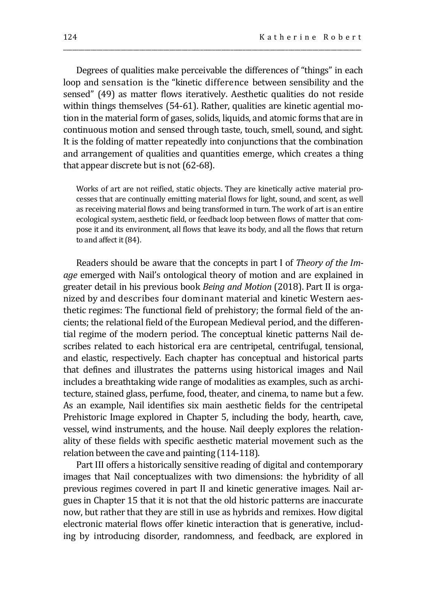Degrees of qualities make perceivable the differences of "things" in each loop and sensation is the "kinetic difference between sensibility and the sensed" (49) as matter flows iteratively. Aesthetic qualities do not reside within things themselves (54-61). Rather, qualities are kinetic agential motion in the material form of gases, solids, liquids, and atomic forms that are in continuous motion and sensed through taste, touch, smell, sound, and sight. It is the folding of matter repeatedly into conjunctions that the combination and arrangement of qualities and quantities emerge, which creates a thing that appear discrete but is not (62-68).

\_\_\_\_\_\_\_\_\_\_\_\_\_\_\_\_\_\_\_\_\_\_\_\_\_\_\_\_\_\_\_\_\_\_\_\_\_\_\_\_\_\_\_\_\_\_\_\_\_\_\_\_\_\_\_\_\_\_\_\_\_\_\_\_\_\_\_\_\_\_\_\_\_\_\_\_\_\_\_\_\_\_\_\_\_\_\_\_\_\_\_\_\_\_\_\_\_\_

Works of art are not reified, static objects. They are kinetically active material processes that are continually emitting material flows for light, sound, and scent, as well as receiving material flows and being transformed in turn. The work of art is an entire ecological system, aesthetic field, or feedback loop between flows of matter that compose it and its environment, all flows that leave its body, and all the flows that return to and affect it (84).

Readers should be aware that the concepts in part I of *Theory of the Image* emerged with Nail's ontological theory of motion and are explained in greater detail in his previous book *Being and Motion* (2018). Part II is organized by and describes four dominant material and kinetic Western aesthetic regimes: The functional field of prehistory; the formal field of the ancients; the relational field of the European Medieval period, and the differential regime of the modern period. The conceptual kinetic patterns Nail describes related to each historical era are centripetal, centrifugal, tensional, and elastic, respectively. Each chapter has conceptual and historical parts that defines and illustrates the patterns using historical images and Nail includes a breathtaking wide range of modalities as examples, such as architecture, stained glass, perfume, food, theater, and cinema, to name but a few. As an example, Nail identifies six main aesthetic fields for the centripetal Prehistoric Image explored in Chapter 5, including the body, hearth, cave, vessel, wind instruments, and the house. Nail deeply explores the relationality of these fields with specific aesthetic material movement such as the relation between the cave and painting (114-118).

Part III offers a historically sensitive reading of digital and contemporary images that Nail conceptualizes with two dimensions: the hybridity of all previous regimes covered in part II and kinetic generative images. Nail argues in Chapter 15 that it is not that the old historic patterns are inaccurate now, but rather that they are still in use as hybrids and remixes. How digital electronic material flows offer kinetic interaction that is generative, including by introducing disorder, randomness, and feedback, are explored in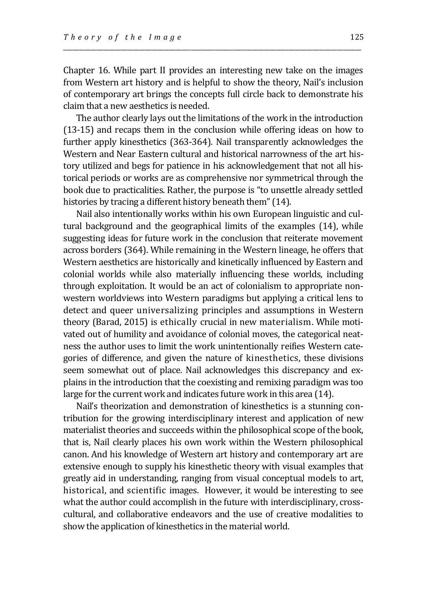Chapter 16. While part II provides an interesting new take on the images from Western art history and is helpful to show the theory, Nail's inclusion of contemporary art brings the concepts full circle back to demonstrate his claim that a new aesthetics is needed.

\_\_\_\_\_\_\_\_\_\_\_\_\_\_\_\_\_\_\_\_\_\_\_\_\_\_\_\_\_\_\_\_\_\_\_\_\_\_\_\_\_\_\_\_\_\_\_\_\_\_\_\_\_\_\_\_\_\_\_\_\_\_\_\_\_\_\_\_\_\_\_\_\_\_\_\_\_\_\_\_\_\_\_\_\_\_\_\_\_\_\_\_\_\_\_\_\_\_

The author clearly lays out the limitations of the work in the introduction (13-15) and recaps them in the conclusion while offering ideas on how to further apply kinesthetics (363-364). Nail transparently acknowledges the Western and Near Eastern cultural and historical narrowness of the art history utilized and begs for patience in his acknowledgement that not all historical periods or works are as comprehensive nor symmetrical through the book due to practicalities. Rather, the purpose is "to unsettle already settled histories by tracing a different history beneath them" (14).

Nail also intentionally works within his own European linguistic and cultural background and the geographical limits of the examples (14), while suggesting ideas for future work in the conclusion that reiterate movement across borders (364). While remaining in the Western lineage, he offers that Western aesthetics are historically and kinetically influenced by Eastern and colonial worlds while also materially influencing these worlds, including through exploitation. It would be an act of colonialism to appropriate nonwestern worldviews into Western paradigms but applying a critical lens to detect and queer universalizing principles and assumptions in Western theory (Barad, 2015) is ethically crucial in new materialism. While motivated out of humility and avoidance of colonial moves, the categorical neatness the author uses to limit the work unintentionally reifies Western categories of difference, and given the nature of kinesthetics, these divisions seem somewhat out of place. Nail acknowledges this discrepancy and explains in the introduction that the coexisting and remixing paradigm was too large for the current work and indicates future work in this area (14).

Nail's theorization and demonstration of kinesthetics is a stunning contribution for the growing interdisciplinary interest and application of new materialist theories and succeeds within the philosophical scope of the book, that is, Nail clearly places his own work within the Western philosophical canon. And his knowledge of Western art history and contemporary art are extensive enough to supply his kinesthetic theory with visual examples that greatly aid in understanding, ranging from visual conceptual models to art, historical, and scientific images. However, it would be interesting to see what the author could accomplish in the future with interdisciplinary, crosscultural, and collaborative endeavors and the use of creative modalities to show the application of kinesthetics in the material world.